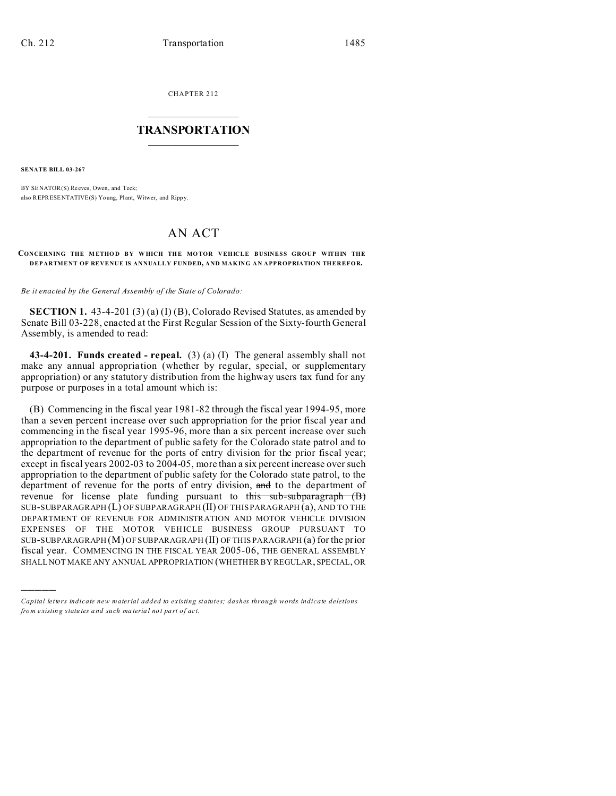CHAPTER 212  $\overline{\phantom{a}}$  , where  $\overline{\phantom{a}}$ 

## **TRANSPORTATION**  $\_$   $\_$   $\_$   $\_$   $\_$   $\_$   $\_$   $\_$   $\_$

**SENATE BILL 03-267**

)))))

BY SENATOR(S) Reeves, Owen, and Teck; also REPRESENTATIVE(S) Young, Plant, Witwer, and Rippy.

## AN ACT

## **CONCERNING THE M ETHO D B Y W HICH THE MO TOR VEHICLE BUSINESS GROUP WITHIN THE DEPARTMENT OF REVENUE IS ANNUALLY FUNDED, AND MAKING AN APPROPRIATION THEREFOR.**

*Be it enacted by the General Assembly of the State of Colorado:*

**SECTION 1.** 43-4-201 (3) (a) (I) (B), Colorado Revised Statutes, as amended by Senate Bill 03-228, enacted at the First Regular Session of the Sixty-fourth General Assembly, is amended to read:

**43-4-201. Funds created - repeal.** (3) (a) (I) The general assembly shall not make any annual appropriation (whether by regular, special, or supplementary appropriation) or any statutory distribution from the highway users tax fund for any purpose or purposes in a total amount which is:

(B) Commencing in the fiscal year 1981-82 through the fiscal year 1994-95, more than a seven percent increase over such appropriation for the prior fiscal year and commencing in the fiscal year 1995-96, more than a six percent increase over such appropriation to the department of public safety for the Colorado state patrol and to the department of revenue for the ports of entry division for the prior fiscal year; except in fiscal years 2002-03 to 2004-05, more than a six percent increase over such appropriation to the department of public safety for the Colorado state patrol, to the department of revenue for the ports of entry division, and to the department of revenue for license plate funding pursuant to this sub-subparagraph (B) SUB-SUBPARAGRAPH (L) OF SUBPARAGRAPH (II) OF THIS PARAGRAPH (a), AND TO THE DEPARTMENT OF REVENUE FOR ADMINISTRATION AND MOTOR VEHICLE DIVISION EXPENSES OF THE MOTOR VEHICLE BUSINESS GROUP PURSUANT TO SUB-SUBPARAGRAPH (M) OF SUBPARAGRAPH (II) OF THIS PARAGRAPH (a) for the prior fiscal year. COMMENCING IN THE FISCAL YEAR 2005-06, THE GENERAL ASSEMBLY SHALL NOT MAKE ANY ANNUAL APPROPRIATION (WHETHER BY REGULAR, SPECIAL, OR

*Capital letters indicate new material added to existing statutes; dashes through words indicate deletions from e xistin g statu tes a nd such ma teria l no t pa rt of ac t.*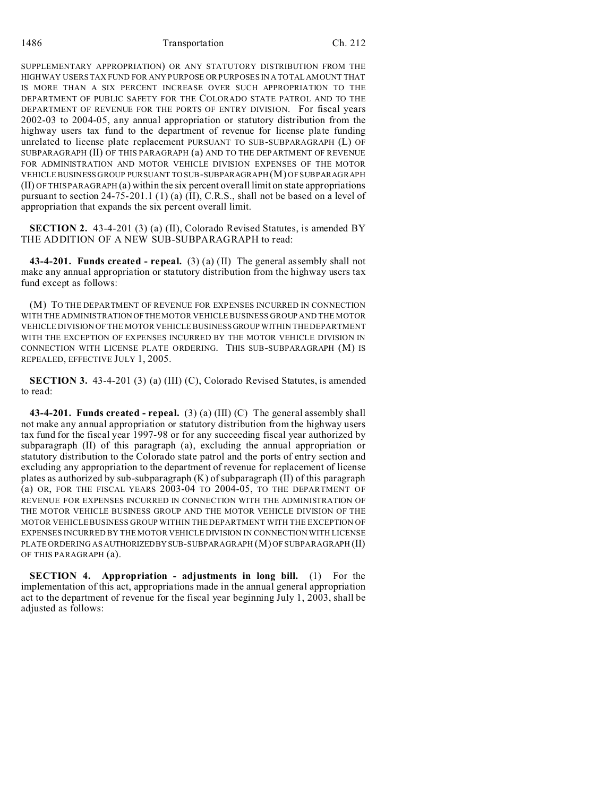SUPPLEMENTARY APPROPRIATION) OR ANY STATUTORY DISTRIBUTION FROM THE HIGHWAY USERS TAX FUND FOR ANY PURPOSE OR PURPOSES IN A TOTAL AMOUNT THAT IS MORE THAN A SIX PERCENT INCREASE OVER SUCH APPROPRIATION TO THE DEPARTMENT OF PUBLIC SAFETY FOR THE COLORADO STATE PATROL AND TO THE DEPARTMENT OF REVENUE FOR THE PORTS OF ENTRY DIVISION. For fiscal years 2002-03 to 2004-05, any annual appropriation or statutory distribution from the highway users tax fund to the department of revenue for license plate funding unrelated to license plate replacement PURSUANT TO SUB-SUBPARAGRAPH (L) OF SUBPARAGRAPH (II) OF THIS PARAGRAPH (a) AND TO THE DEPARTMENT OF REVENUE FOR ADMINISTRATION AND MOTOR VEHICLE DIVISION EXPENSES OF THE MOTOR VEHICLE BUSINESS GROUP PURSUANT TO SUB-SUBPARAGRAPH (M) OF SUBPARAGRAPH (II) OF THIS PARAGRAPH (a) within the six percent overall limit on state appropriations pursuant to section 24-75-201.1 (1) (a) (II), C.R.S., shall not be based on a level of appropriation that expands the six percent overall limit.

**SECTION 2.** 43-4-201 (3) (a) (II), Colorado Revised Statutes, is amended BY THE ADDITION OF A NEW SUB-SUBPARAGRAPH to read:

**43-4-201. Funds created - repeal.** (3) (a) (II) The general assembly shall not make any annual appropriation or statutory distribution from the highway users tax fund except as follows:

(M) TO THE DEPARTMENT OF REVENUE FOR EXPENSES INCURRED IN CONNECTION WITH THE ADMINISTRATION OFTHE MOTOR VEHICLE BUSINESS GROUP AND THE MOTOR VEHICLE DIVISION OF THE MOTOR VEHICLE BUSINESS GROUP WITHIN THE DEPARTMENT WITH THE EXCEPTION OF EXPENSES INCURRED BY THE MOTOR VEHICLE DIVISION IN CONNECTION WITH LICENSE PLATE ORDERING. THIS SUB-SUBPARAGRAPH (M) IS REPEALED, EFFECTIVE JULY 1, 2005.

**SECTION 3.** 43-4-201 (3) (a) (III) (C), Colorado Revised Statutes, is amended to read:

**43-4-201. Funds created - repeal.** (3) (a) (III) (C) The general assembly shall not make any annual appropriation or statutory distribution from the highway users tax fund for the fiscal year 1997-98 or for any succeeding fiscal year authorized by subparagraph (II) of this paragraph (a), excluding the annual appropriation or statutory distribution to the Colorado state patrol and the ports of entry section and excluding any appropriation to the department of revenue for replacement of license plates as authorized by sub-subparagraph (K) of subparagraph (II) of this paragraph (a) OR, FOR THE FISCAL YEARS 2003-04 TO 2004-05, TO THE DEPARTMENT OF REVENUE FOR EXPENSES INCURRED IN CONNECTION WITH THE ADMINISTRATION OF THE MOTOR VEHICLE BUSINESS GROUP AND THE MOTOR VEHICLE DIVISION OF THE MOTOR VEHICLE BUSINESS GROUP WITHIN THE DEPARTMENT WITH THE EXCEPTION OF EXPENSES INCURRED BY THE MOTOR VEHICLE DIVISION IN CONNECTION WITH LICENSE PLATE ORDERING AS AUTHORIZEDBY SUB-SUBPARAGRAPH (M) OF SUBPARAGRAPH (II) OF THIS PARAGRAPH (a).

**SECTION 4. Appropriation - adjustments in long bill.** (1) For the implementation of this act, appropriations made in the annual general appropriation act to the department of revenue for the fiscal year beginning July 1, 2003, shall be adjusted as follows: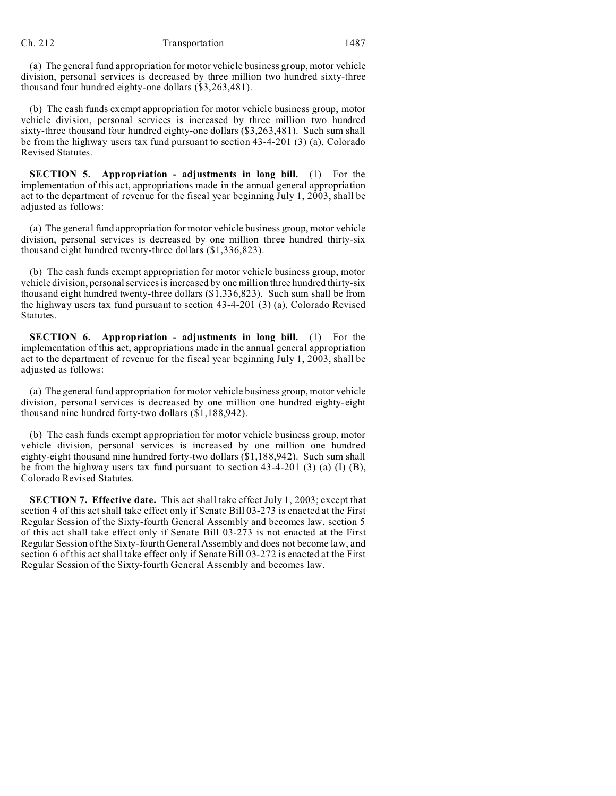(a) The general fund appropriation for motor vehicle business group, motor vehicle division, personal services is decreased by three million two hundred sixty-three thousand four hundred eighty-one dollars (\$3,263,481).

(b) The cash funds exempt appropriation for motor vehicle business group, motor vehicle division, personal services is increased by three million two hundred sixty-three thousand four hundred eighty-one dollars (\$3,263,481). Such sum shall be from the highway users tax fund pursuant to section 43-4-201 (3) (a), Colorado Revised Statutes.

**SECTION 5. Appropriation - adjustments in long bill.** (1) For the implementation of this act, appropriations made in the annual general appropriation act to the department of revenue for the fiscal year beginning July 1, 2003, shall be adjusted as follows:

(a) The general fund appropriation for motor vehicle business group, motor vehicle division, personal services is decreased by one million three hundred thirty-six thousand eight hundred twenty-three dollars (\$1,336,823).

(b) The cash funds exempt appropriation for motor vehicle business group, motor vehicle division, personal services is increased by one million three hundred thirty-six thousand eight hundred twenty-three dollars (\$1,336,823). Such sum shall be from the highway users tax fund pursuant to section 43-4-201 (3) (a), Colorado Revised Statutes.

**SECTION 6. Appropriation - adjustments in long bill.** (1) For the implementation of this act, appropriations made in the annual general appropriation act to the department of revenue for the fiscal year beginning July 1, 2003, shall be adjusted as follows:

(a) The general fund appropriation for motor vehicle business group, motor vehicle division, personal services is decreased by one million one hundred eighty-eight thousand nine hundred forty-two dollars (\$1,188,942).

(b) The cash funds exempt appropriation for motor vehicle business group, motor vehicle division, personal services is increased by one million one hundred eighty-eight thousand nine hundred forty-two dollars (\$1,188,942). Such sum shall be from the highway users tax fund pursuant to section 43-4-201 (3) (a) (I) (B), Colorado Revised Statutes.

**SECTION 7. Effective date.** This act shall take effect July 1, 2003; except that section 4 of this act shall take effect only if Senate Bill 03-273 is enacted at the First Regular Session of the Sixty-fourth General Assembly and becomes law, section 5 of this act shall take effect only if Senate Bill 03-273 is not enacted at the First Regular Session of the Sixty-fourth General Assembly and does not become law, and section 6 of this act shall take effect only if Senate Bill 03-272 is enacted at the First Regular Session of the Sixty-fourth General Assembly and becomes law.